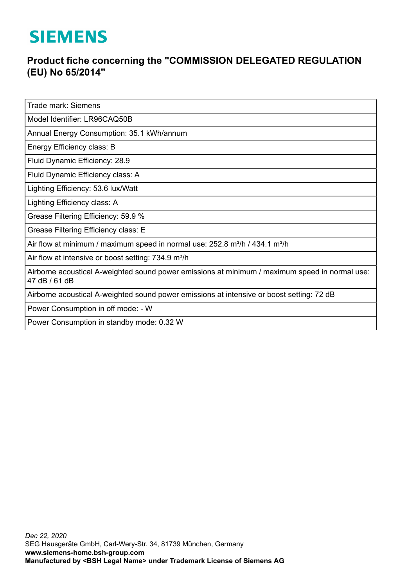## **SIEMENS**

## **Product fiche concerning the "COMMISSION DELEGATED REGULATION (EU) No 65/2014"**

Trade mark: Siemens

Model Identifier: LR96CAQ50B

Annual Energy Consumption: 35.1 kWh/annum

Energy Efficiency class: B

Fluid Dynamic Efficiency: 28.9

Fluid Dynamic Efficiency class: A

Lighting Efficiency: 53.6 lux/Watt

Lighting Efficiency class: A

Grease Filtering Efficiency: 59.9 %

Grease Filtering Efficiency class: E

Air flow at minimum / maximum speed in normal use:  $252.8$  m<sup>3</sup>/h / 434.1 m<sup>3</sup>/h

Air flow at intensive or boost setting: 734.9 m<sup>3</sup>/h

Airborne acoustical A-weighted sound power emissions at minimum / maximum speed in normal use: 47 dB / 61 dB

Airborne acoustical A-weighted sound power emissions at intensive or boost setting: 72 dB

Power Consumption in off mode: - W

Power Consumption in standby mode: 0.32 W